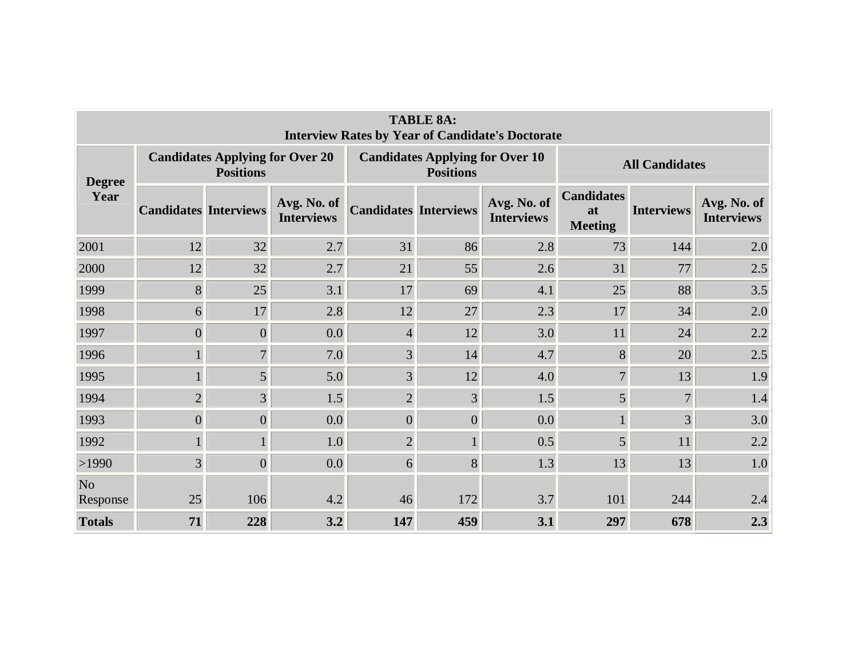| <b>TABLE 8A:</b><br><b>Interview Rates by Year of Candidate's Doctorate</b> |                              |                                                            |                                  |                              |                                                            |                                  |                                           |                   |                                  |  |  |  |
|-----------------------------------------------------------------------------|------------------------------|------------------------------------------------------------|----------------------------------|------------------------------|------------------------------------------------------------|----------------------------------|-------------------------------------------|-------------------|----------------------------------|--|--|--|
| <b>Degree</b><br>Year                                                       |                              | <b>Candidates Applying for Over 20</b><br><b>Positions</b> |                                  |                              | <b>Candidates Applying for Over 10</b><br><b>Positions</b> |                                  | <b>All Candidates</b>                     |                   |                                  |  |  |  |
|                                                                             | <b>Candidates Interviews</b> |                                                            | Avg. No. of<br><b>Interviews</b> | <b>Candidates Interviews</b> |                                                            | Avg. No. of<br><b>Interviews</b> | <b>Candidates</b><br>at<br><b>Meeting</b> | <b>Interviews</b> | Avg. No. of<br><b>Interviews</b> |  |  |  |
| 2001                                                                        | 12                           | 32                                                         | 2.7                              | 31                           | 86                                                         | 2.8                              | 73                                        | 144               | 2.0                              |  |  |  |
| 2000                                                                        | 12                           | 32                                                         | 2.7                              | 21                           | 55                                                         | 2.6                              | 31                                        | 77                | 2.5                              |  |  |  |
| 1999                                                                        | 8                            | 25                                                         | 3.1                              | 17                           | 69                                                         | 4.1                              | 25                                        | 88                | 3.5                              |  |  |  |
| 1998                                                                        | 6                            | 17                                                         | 2.8                              | 12                           | 27                                                         | 2.3                              | 17                                        | 34                | 2.0                              |  |  |  |
| 1997                                                                        | $\overline{0}$               | $\overline{0}$                                             | 0.0                              | $\overline{4}$               | 12                                                         | 3.0                              | 11                                        | 24                | 2.2                              |  |  |  |
| 1996                                                                        |                              | $\overline{7}$                                             | 7.0                              | $\overline{3}$               | 14                                                         | 4.7                              | $8\,$                                     | 20                | 2.5                              |  |  |  |
| 1995                                                                        |                              | 5                                                          | 5.0                              | 3                            | 12                                                         | 4.0                              | $\overline{7}$                            | 13                | 1.9                              |  |  |  |
| 1994                                                                        | $\overline{2}$               | $\overline{3}$                                             | 1.5                              | $\overline{2}$               | 3                                                          | 1.5                              | 5                                         | $\overline{7}$    | 1.4                              |  |  |  |
| 1993                                                                        | $\overline{0}$               | $\boldsymbol{0}$                                           | 0.0                              | $\overline{0}$               | $\overline{0}$                                             | 0.0                              |                                           | $\overline{3}$    | 3.0                              |  |  |  |
| 1992                                                                        |                              | $\mathbf{1}$                                               | 1.0                              | $\overline{2}$               |                                                            | 0.5                              | 5                                         | 11                | 2.2                              |  |  |  |
| >1990                                                                       | $\overline{3}$               | $\overline{0}$                                             | 0.0                              | 6                            | 8                                                          | 1.3                              | 13                                        | 13                | 1.0                              |  |  |  |
| No<br>Response                                                              | 25                           | 106                                                        | 4.2                              | 46                           | 172                                                        | 3.7                              | 101                                       | 244               | 2.4                              |  |  |  |
| <b>Totals</b>                                                               | 71                           | 228                                                        | 3.2                              | 147                          | 459                                                        | 3.1                              | 297                                       | 678               | 2.3                              |  |  |  |